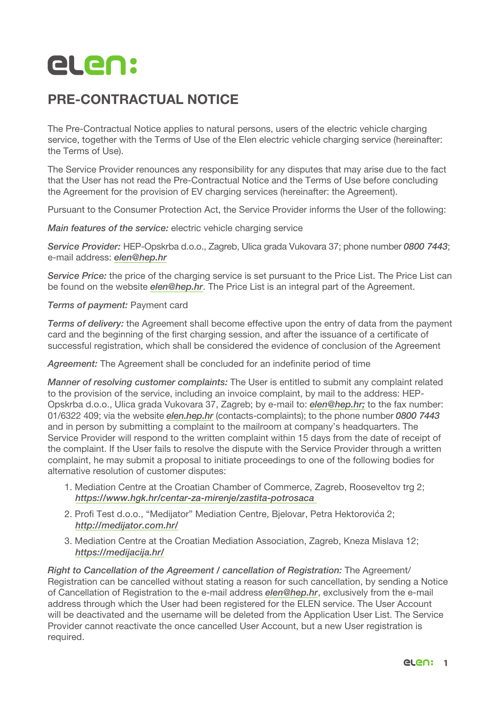

## PRE-CONTRACTUAL NOTICE

The Pre-Contractual Notice applies to natural persons, users of the electric vehicle charging service, together with the Terms of Use of the Elen electric vehicle charging service (hereinafter: the Terms of Use).

The Service Provider renounces any responsibility for any disputes that may arise due to the fact that the User has not read the Pre-Contractual Notice and the Terms of Use before concluding the Agreement for the provision of EV charging services (hereinafter: the Agreement).

Pursuant to the Consumer Protection Act, the Service Provider informs the User of the following:

*Main features of the service:* electric vehicle charging service

*Service Provider:* HEP-Opskrba d.o.o., Zagreb, Ulica grada Vukovara 37; phone number *0800 7443*; e-mail address: *elen@hep.hr*

*Service Price:* the price of the charging service is set pursuant to the Price List. The Price List can be found on the website *elen@hep.hr*. The Price List is an integral part of the Agreement.

*Terms of payment:* Payment card

*Terms of delivery:* the Agreement shall become effective upon the entry of data from the payment card and the beginning of the first charging session, and after the issuance of a certificate of successful registration, which shall be considered the evidence of conclusion of the Agreement

*Agreement:* The Agreement shall be concluded for an indefinite period of time

*Manner of resolving customer complaints:* The User is entitled to submit any complaint related to the provision of the service, including an invoice complaint, by mail to the address: HEP-Opskrba d.o.o., Ulica grada Vukovara 37, Zagreb; by e-mail to: *elen@hep.hr;* to the fax number: 01/6322 409; via the website *elen.hep.hr* (contacts-complaints); to the phone number *0800 7443* and in person by submitting a complaint to the mailroom at company's headquarters. The Service Provider will respond to the written complaint within 15 days from the date of receipt of the complaint. If the User fails to resolve the dispute with the Service Provider through a written complaint, he may submit a proposal to initiate proceedings to one of the following bodies for alternative resolution of customer disputes:

- 1. Mediation Centre at the Croatian Chamber of Commerce, Zagreb, Rooseveltov trg 2; *https://www.hgk.hr/centar-za-mirenje/zastita-potrosaca*
- 2. Profi Test d.o.o., "Medijator" Mediation Centre, Bjelovar, Petra Hektorovića 2; *http://medijator.com.hr/*
- 3. Mediation Centre at the Croatian Mediation Association, Zagreb, Kneza Mislava 12; *https://medijacija.hr/*

*Right to Cancellation of the Agreement / cancellation of Registration: The Agreement/* Registration can be cancelled without stating a reason for such cancellation, by sending a Notice of Cancellation of Registration to the e-mail address *elen@hep.hr*, exclusively from the e-mail address through which the User had been registered for the ELEN service. The User Account will be deactivated and the username will be deleted from the Application User List. The Service Provider cannot reactivate the once cancelled User Account, but a new User registration is required.